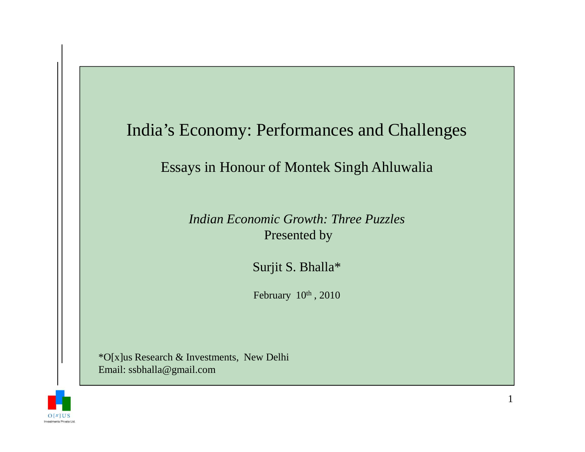### India's Economy: Performances and Challenges

#### Essays in Honour of Montek Singh Ahluwalia

*Indian Economic Growth: Three Puzzles* Presented by

Surjit S. Bhalla\*

February  $10^{th}$ , 2010

\*O[x]us Research & Investments, New DelhiEmail: ssbhalla@gmail.com

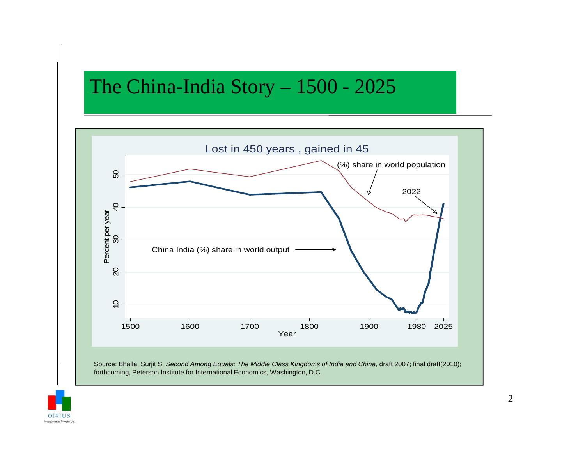# The China-India Story – 1500 - 2025



forthcoming, Peterson Institute for International Economics, Washington, D.C.

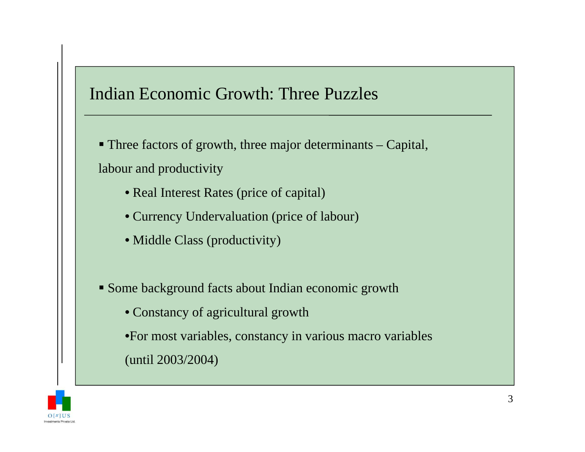# Indian Economic Growth: Three Puzzles

 Three factors of growth, three major determinants – Capital, labour and productivity

- Real Interest Rates (price of capital)
- Currency Undervaluation (price of labour)
- Middle Class (productivity)
- Some background facts about Indian economic growth
	- Constancy of agricultural growth
	- •For most variables, constancy in various macro variables

(until 2003/2004)

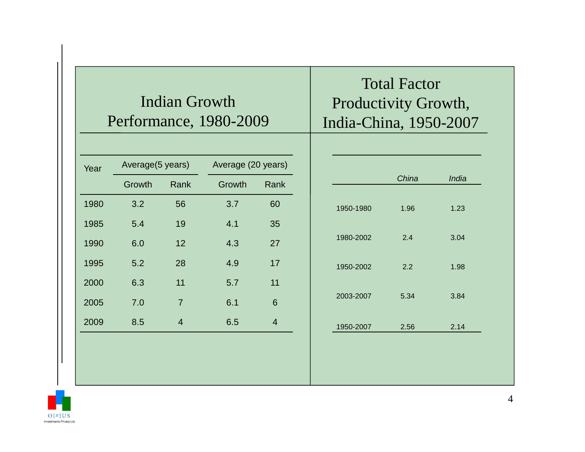### Indian Growth Performance, 1980-2009

| Year | Average(5 years) |                | Average (20 years) |                |
|------|------------------|----------------|--------------------|----------------|
|      | Growth           | Rank           | Growth             | Rank           |
| 1980 | 3.2              | 56             | 3.7                | 60             |
| 1985 | 5.4              | 19             | 4.1                | 35             |
| 1990 | 6.0              | 12             | 4.3                | 27             |
| 1995 | 5.2              | 28             | 4.9                | 17             |
| 2000 | 6.3              | 11             | 5.7                | 11             |
| 2005 | 7.0              | $\overline{7}$ | 6.1                | 6              |
| 2009 | 8.5              | $\overline{4}$ | 6.5                | $\overline{4}$ |
|      |                  |                |                    |                |

# Total Factor Productivity Growth, India-China, 1950-2007

|           | China | India |
|-----------|-------|-------|
|           |       |       |
| 1950-1980 | 1.96  | 1.23  |
|           |       |       |
| 1980-2002 | 2.4   | 3.04  |
|           |       |       |
| 1950-2002 | 2.2   | 1.98  |
|           |       |       |
| 2003-2007 | 5.34  | 3.84  |
|           |       |       |
| 1950-2007 | 2.56  | 2.14  |
|           |       |       |
|           |       |       |

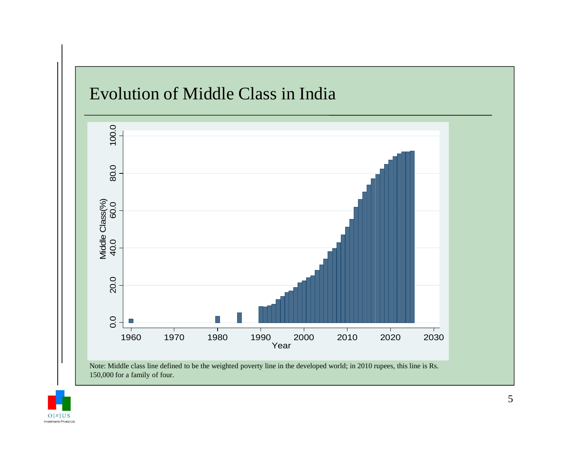

150,000 for a family of four.

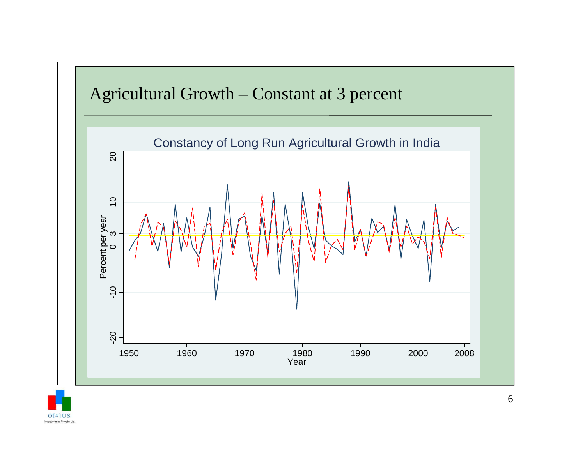## Agricultural Growth – Constant at 3 percent



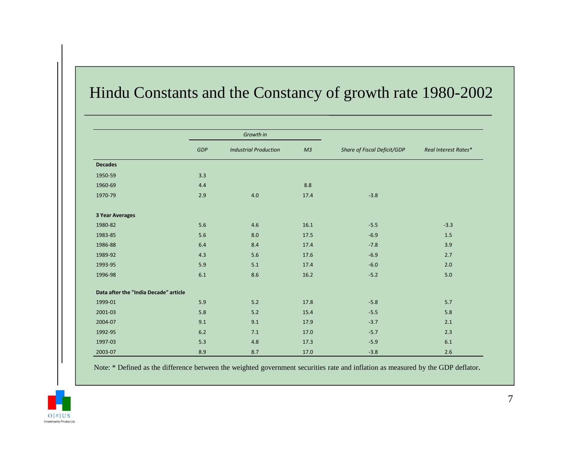### Hindu Constants and the Constancy of growth rate 1980-2002

|                                       |            | Growth in                    |                |                             |                      |
|---------------------------------------|------------|------------------------------|----------------|-----------------------------|----------------------|
|                                       | <b>GDP</b> | <b>Industrial Production</b> | M <sub>3</sub> | Share of Fiscal Deficit/GDP | Real Interest Rates* |
| <b>Decades</b>                        |            |                              |                |                             |                      |
| 1950-59                               | 3.3        |                              |                |                             |                      |
| 1960-69                               | 4.4        |                              | 8.8            |                             |                      |
| 1970-79                               | 2.9        | $4.0\,$                      | 17.4           | $-3.8$                      |                      |
| <b>3 Year Averages</b>                |            |                              |                |                             |                      |
| 1980-82                               | 5.6        | 4.6                          | 16.1           | $-5.5$                      | $-3.3$               |
| 1983-85                               | 5.6        | 8.0                          | 17.5           | $-6.9$                      | 1.5                  |
| 1986-88                               | 6.4        | 8.4                          | 17.4           | $-7.8$                      | 3.9                  |
| 1989-92                               | 4.3        | 5.6                          | 17.6           | $-6.9$                      | 2.7                  |
| 1993-95                               | 5.9        | 5.1                          | 17.4           | $-6.0$                      | 2.0                  |
| 1996-98                               | 6.1        | 8.6                          | 16.2           | $-5.2$                      | 5.0                  |
| Data after the "India Decade" article |            |                              |                |                             |                      |
| 1999-01                               | 5.9        | $5.2$                        | 17.8           | $-5.8$                      | 5.7                  |
| 2001-03                               | 5.8        | 5.2                          | 15.4           | $-5.5$                      | 5.8                  |
| 2004-07                               | 9.1        | 9.1                          | 17.9           | $-3.7$                      | 2.1                  |
| 1992-95                               | 6.2        | 7.1                          | 17.0           | $-5.7$                      | 2.3                  |
| 1997-03                               | 5.3        | 4.8                          | 17.3           | $-5.9$                      | 6.1                  |
| 2003-07                               | 8.9        | 8.7                          | 17.0           | $-3.8$                      | 2.6                  |

Note: \* Defined as the difference between the weighted government securities rate and inflation as measured by the GDP deflator.

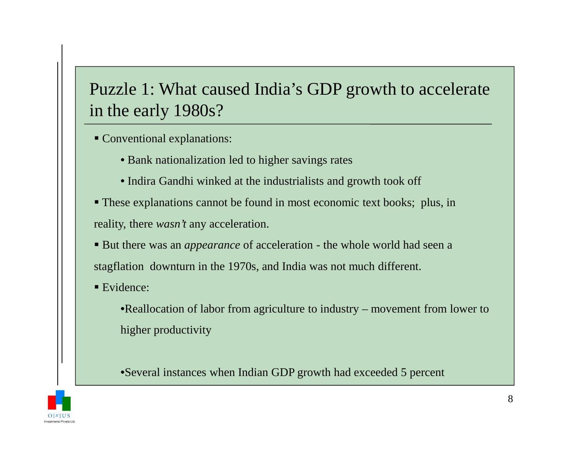# Puzzle 1: What caused India's GDP growth to accelerate in the early 1980s?

- Conventional explanations:
	- Bank nationalization led to higher savings rates
	- Indira Gandhi winked at the industrialists and growth took off
- These explanations cannot be found in most economic text books; plus, in reality, there *wasn't* any acceleration.
- But there was an *appearance* of acceleration the whole world had seen a stagflation downturn in the 1970s, and India was not much different.
- Evidence:

•Reallocation of labor from agriculture to industry – movement from lower to higher productivity

•Several instances when Indian GDP growth had exceeded 5 percent

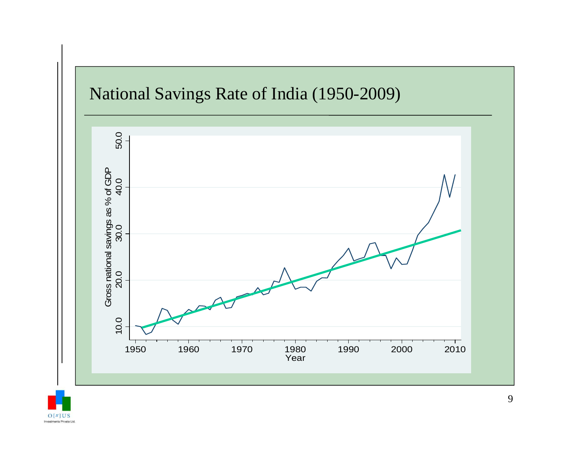

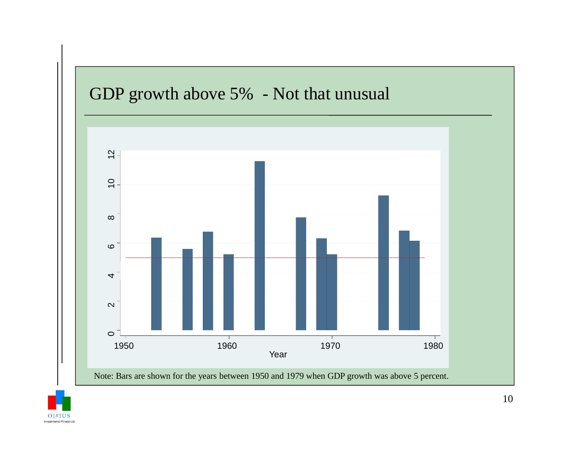

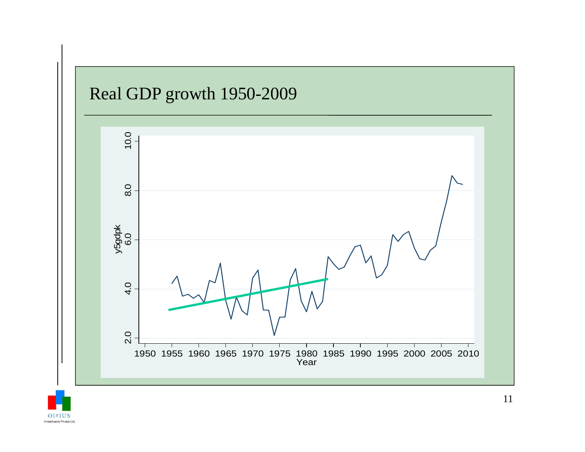

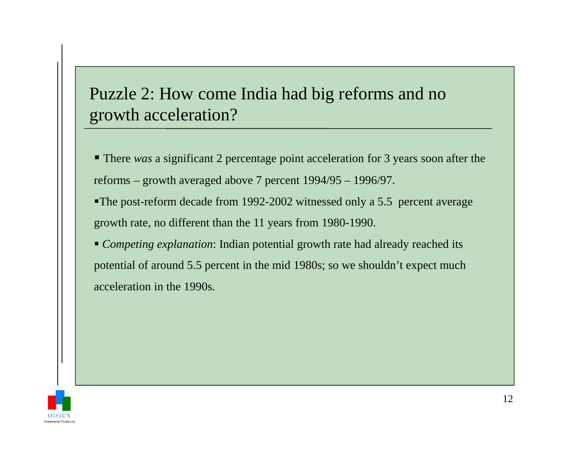# Puzzle 2: How come India had big reforms and no growth acceleration?

- There *was* a significant 2 percentage point acceleration for 3 years soon after the reforms – growth averaged above 7 percent 1994/95 – 1996/97.
- The post-reform decade from 1992-2002 witnessed only a 5.5 percent average growth rate, no different than the 11 years from 1980-1990.
- *Competing explanation*: Indian potential growth rate had already reached its potential of around 5.5 percent in the mid 1980s; so we shouldn't expect much acceleration in the 1990s.

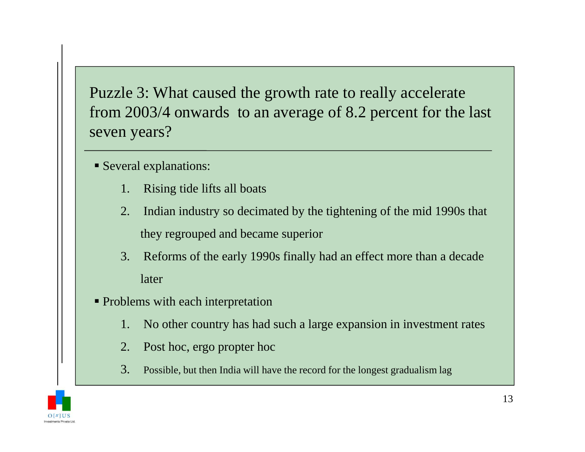Puzzle 3: What caused the growth rate to really accelerate from 2003/4 onwards to an average of 8.2 percent for the last seven years?

- Several explanations:
	- 1. Rising tide lifts all boats
	- 2. Indian industry so decimated by the tightening of the mid 1990s that they regrouped and became superior
	- 3. Reforms of the early 1990s finally had an effect more than a decade later
- Problems with each interpretation
	- 1. No other country has had such a large expansion in investment rates
	- 2. Post hoc, ergo propter hoc
	- 3.Possible, but then India will have the record for the longest gradualism lag

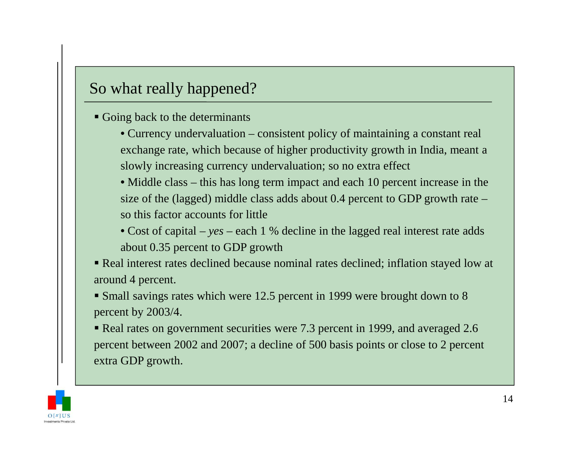### So what really happened?

- Going back to the determinants
	- Currency undervaluation consistent policy of maintaining a constant real exchange rate, which because of higher productivity growth in India, meant a slowly increasing currency undervaluation; so no extra effect
	- Middle class this has long term impact and each 10 percent increase in the size of the (lagged) middle class adds about 0.4 percent to GDP growth rate –so this factor accounts for little
	- Cost of capital *yes* each 1 % decline in the lagged real interest rate adds about 0.35 percent to GDP growth
- Real interest rates declined because nominal rates declined; inflation stayed low at around 4 percent.
- Small savings rates which were 12.5 percent in 1999 were brought down to 8 percent by 2003/4.
- Real rates on government securities were 7.3 percent in 1999, and averaged 2.6 percent between 2002 and 2007; a decline of 500 basis points or close to 2 percent extra GDP growth.

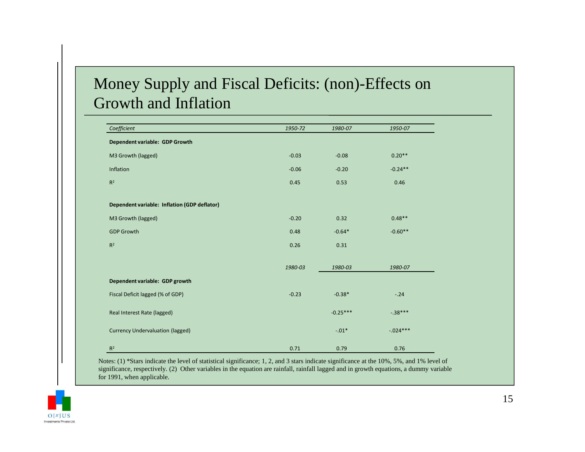### Money Supply and Fiscal Deficits: (non)-Effects on Growth and Inflation

| Coefficient                                  | 1950-72 | 1980-07    | 1950-07    |
|----------------------------------------------|---------|------------|------------|
| Dependent variable: GDP Growth               |         |            |            |
| M3 Growth (lagged)                           | $-0.03$ | $-0.08$    | $0.20**$   |
| Inflation                                    | $-0.06$ | $-0.20$    | $-0.24**$  |
| R <sup>2</sup>                               | 0.45    | 0.53       | 0.46       |
| Dependent variable: Inflation (GDP deflator) |         |            |            |
| M3 Growth (lagged)                           | $-0.20$ | 0.32       | $0.48**$   |
| <b>GDP Growth</b>                            | 0.48    | $-0.64*$   | $-0.60**$  |
| $R^2$                                        | 0.26    | 0.31       |            |
|                                              | 1980-03 | 1980-03    | 1980-07    |
| Dependent variable: GDP growth               |         |            |            |
| Fiscal Deficit lagged (% of GDP)             | $-0.23$ | $-0.38*$   | $-.24$     |
| Real Interest Rate (lagged)                  |         | $-0.25***$ | $-.38***$  |
| <b>Currency Undervaluation (lagged)</b>      |         | $-.01*$    | $-.024***$ |
| $R^2$                                        | 0.71    | 0.79       | 0.76       |

Notes: (1) \*Stars indicate the level of statistical significance; 1, 2, and 3 stars indicate significance at the 10%, 5%, and 1% level of significance, respectively. (2) Other variables in the equation are rainfall, rainfall lagged and in growth equations, a dummy variable for 1991, when applicable.

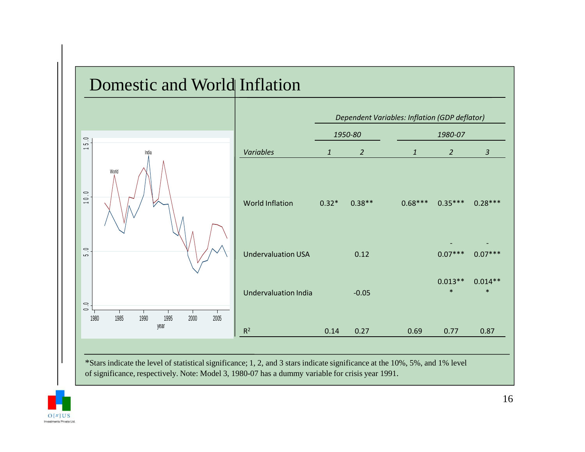

\*Stars indicate the level of statistical significance; 1, 2, and 3 stars indicate significance at the 10%, 5%, and 1% level of significance, respectively. Note: Model 3, 1980-07 has a dummy variable for crisis year 1991.

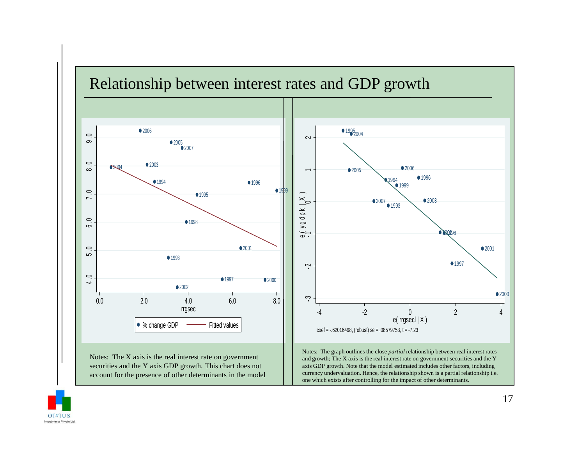### Relationship between interest rates and GDP growth



Notes: The X axis is the real interest rate on government securities and the Y axis GDP growth. This chart does not account for the presence of other determinants in the model



Notes: The graph outlines the close *partial* relationship between real interest rates and growth; The X axis is the real interest rate on government securities and the Y axis GDP growth. Note that the model estimated includes other factors, including currency undervaluation. Hence, the relationship shown is a partial relationship i.e. one which exists after controlling for the impact of other determinants.

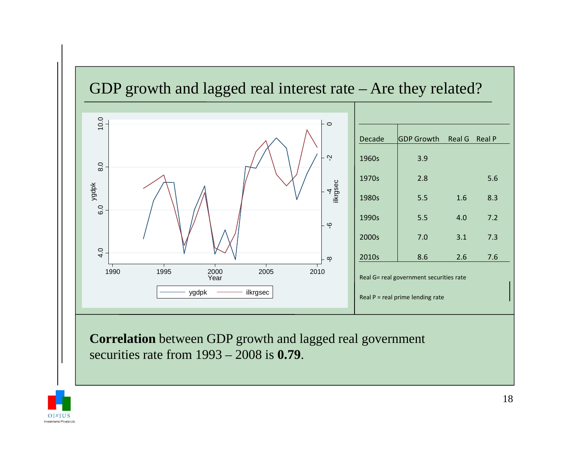

**Correlation** between GDP growth and lagged real government securities rate from 1993 – 2008 is **0.79**.

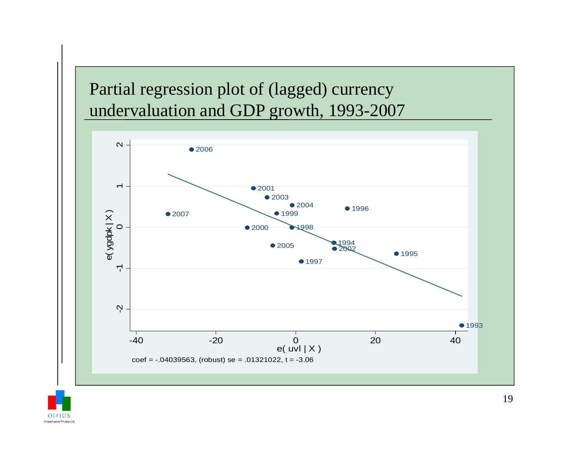# Partial regression plot of (lagged) currency undervaluation and GDP growth, 1993-2007



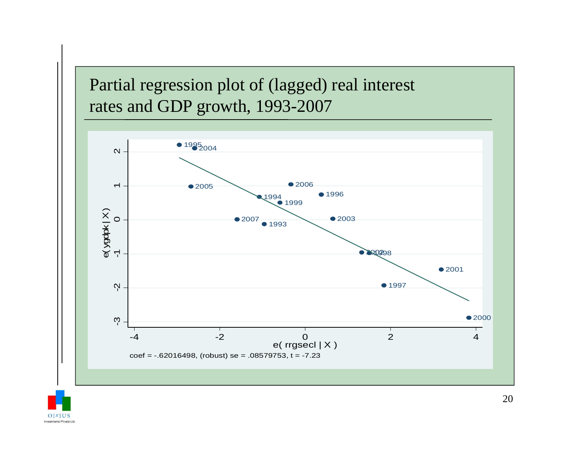# Partial regression plot of (lagged) real interest rates and GDP growth, 1993-2007



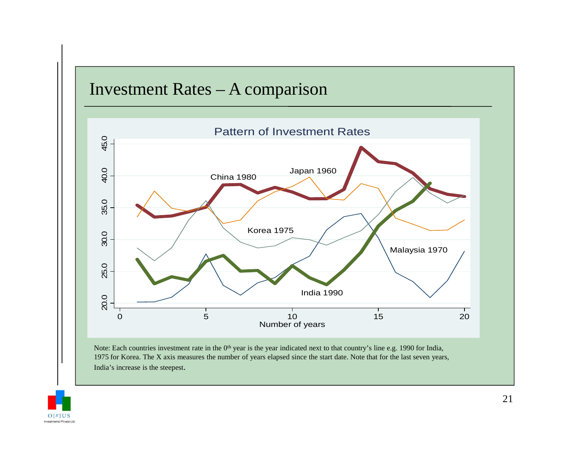

Note: Each countries investment rate in the  $0<sup>th</sup>$  year is the year indicated next to that country's line e.g. 1990 for India, 1975 for Korea. The X axis measures the number of years elapsed since the start date. Note that for the last seven years, India's increase is the steepest.